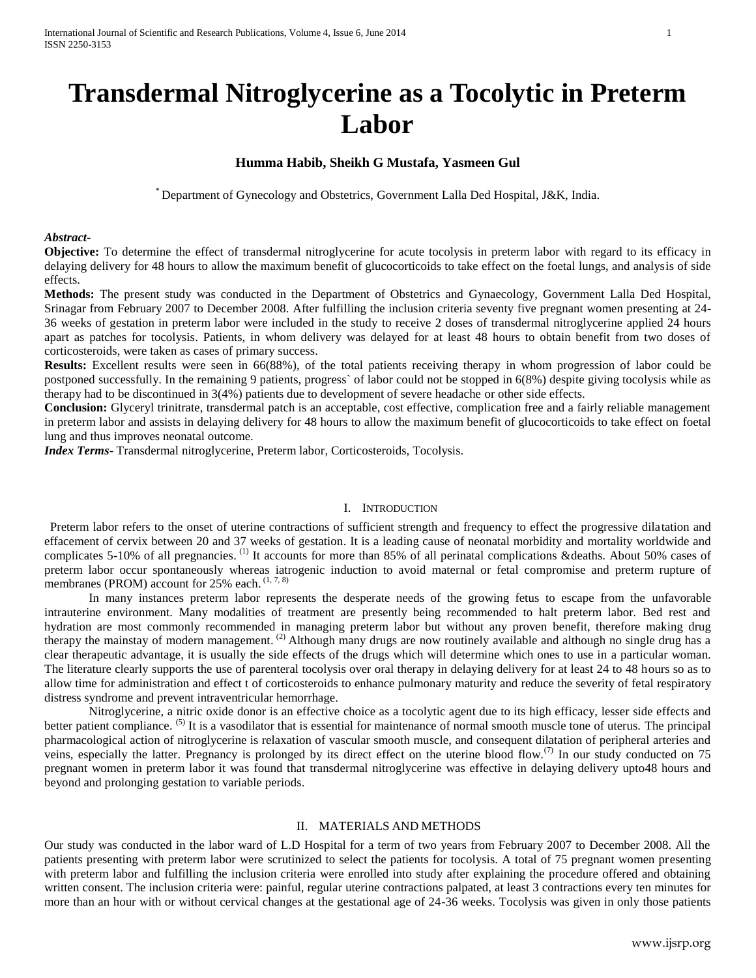# **Transdermal Nitroglycerine as a Tocolytic in Preterm Labor**

## **Humma Habib, Sheikh G Mustafa, Yasmeen Gul**

\* Department of Gynecology and Obstetrics, Government Lalla Ded Hospital, J&K, India.

#### *Abstract***-**

**Objective:** To determine the effect of transdermal nitroglycerine for acute tocolysis in preterm labor with regard to its efficacy in delaying delivery for 48 hours to allow the maximum benefit of glucocorticoids to take effect on the foetal lungs, and analysis of side effects.

**Methods:** The present study was conducted in the Department of Obstetrics and Gynaecology, Government Lalla Ded Hospital, Srinagar from February 2007 to December 2008. After fulfilling the inclusion criteria seventy five pregnant women presenting at 24- 36 weeks of gestation in preterm labor were included in the study to receive 2 doses of transdermal nitroglycerine applied 24 hours apart as patches for tocolysis. Patients, in whom delivery was delayed for at least 48 hours to obtain benefit from two doses of corticosteroids, were taken as cases of primary success.

**Results:** Excellent results were seen in 66(88%), of the total patients receiving therapy in whom progression of labor could be postponed successfully. In the remaining 9 patients, progress` of labor could not be stopped in 6(8%) despite giving tocolysis while as therapy had to be discontinued in 3(4%) patients due to development of severe headache or other side effects.

**Conclusion:** Glyceryl trinitrate, transdermal patch is an acceptable, cost effective, complication free and a fairly reliable management in preterm labor and assists in delaying delivery for 48 hours to allow the maximum benefit of glucocorticoids to take effect on foetal lung and thus improves neonatal outcome.

*Index Terms*- Transdermal nitroglycerine, Preterm labor, Corticosteroids, Tocolysis.

## I. INTRODUCTION

Preterm labor refers to the onset of uterine contractions of sufficient strength and frequency to effect the progressive dilatation and effacement of cervix between 20 and 37 weeks of gestation. It is a leading cause of neonatal morbidity and mortality worldwide and complicates 5-10% of all pregnancies.<sup>(1)</sup> It accounts for more than 85% of all perinatal complications &deaths. About 50% cases of preterm labor occur spontaneously whereas iatrogenic induction to avoid maternal or fetal compromise and preterm rupture of membranes (PROM) account for  $25%$  each.  $(1, 7, 8)$ 

In many instances preterm labor represents the desperate needs of the growing fetus to escape from the unfavorable intrauterine environment. Many modalities of treatment are presently being recommended to halt preterm labor. Bed rest and hydration are most commonly recommended in managing preterm labor but without any proven benefit, therefore making drug therapy the mainstay of modern management.<sup>(2)</sup> Although many drugs are now routinely available and although no single drug has a clear therapeutic advantage, it is usually the side effects of the drugs which will determine which ones to use in a particular woman. The literature clearly supports the use of parenteral tocolysis over oral therapy in delaying delivery for at least 24 to 48 hours so as to allow time for administration and effect t of corticosteroids to enhance pulmonary maturity and reduce the severity of fetal respiratory distress syndrome and prevent intraventricular hemorrhage.

Nitroglycerine, a nitric oxide donor is an effective choice as a tocolytic agent due to its high efficacy, lesser side effects and better patient compliance.<sup>(5)</sup> It is a vasodilator that is essential for maintenance of normal smooth muscle tone of uterus. The principal pharmacological action of nitroglycerine is relaxation of vascular smooth muscle, and consequent dilatation of peripheral arteries and veins, especially the latter. Pregnancy is prolonged by its direct effect on the uterine blood flow.<sup>(7)</sup> In our study conducted on 75 pregnant women in preterm labor it was found that transdermal nitroglycerine was effective in delaying delivery upto48 hours and beyond and prolonging gestation to variable periods.

## II. MATERIALS AND METHODS

Our study was conducted in the labor ward of L.D Hospital for a term of two years from February 2007 to December 2008. All the patients presenting with preterm labor were scrutinized to select the patients for tocolysis. A total of 75 pregnant women presenting with preterm labor and fulfilling the inclusion criteria were enrolled into study after explaining the procedure offered and obtaining written consent. The inclusion criteria were: painful, regular uterine contractions palpated, at least 3 contractions every ten minutes for more than an hour with or without cervical changes at the gestational age of 24-36 weeks. Tocolysis was given in only those patients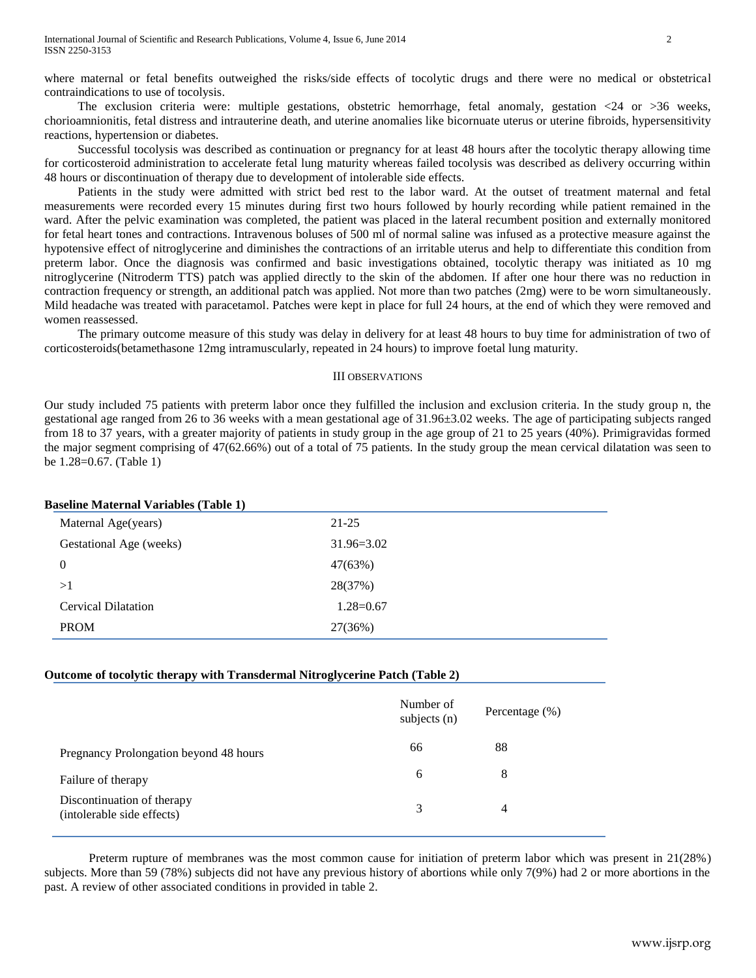where maternal or fetal benefits outweighed the risks/side effects of tocolytic drugs and there were no medical or obstetrical contraindications to use of tocolysis.

The exclusion criteria were: multiple gestations, obstetric hemorrhage, fetal anomaly, gestation  $\langle 24 \text{ or } \rangle$  = 36 weeks, chorioamnionitis, fetal distress and intrauterine death, and uterine anomalies like bicornuate uterus or uterine fibroids, hypersensitivity reactions, hypertension or diabetes.

Successful tocolysis was described as continuation or pregnancy for at least 48 hours after the tocolytic therapy allowing time for corticosteroid administration to accelerate fetal lung maturity whereas failed tocolysis was described as delivery occurring within 48 hours or discontinuation of therapy due to development of intolerable side effects.

Patients in the study were admitted with strict bed rest to the labor ward. At the outset of treatment maternal and fetal measurements were recorded every 15 minutes during first two hours followed by hourly recording while patient remained in the ward. After the pelvic examination was completed, the patient was placed in the lateral recumbent position and externally monitored for fetal heart tones and contractions. Intravenous boluses of 500 ml of normal saline was infused as a protective measure against the hypotensive effect of nitroglycerine and diminishes the contractions of an irritable uterus and help to differentiate this condition from preterm labor. Once the diagnosis was confirmed and basic investigations obtained, tocolytic therapy was initiated as 10 mg nitroglycerine (Nitroderm TTS) patch was applied directly to the skin of the abdomen. If after one hour there was no reduction in contraction frequency or strength, an additional patch was applied. Not more than two patches (2mg) were to be worn simultaneously. Mild headache was treated with paracetamol. Patches were kept in place for full 24 hours, at the end of which they were removed and women reassessed.

The primary outcome measure of this study was delay in delivery for at least 48 hours to buy time for administration of two of corticosteroids(betamethasone 12mg intramuscularly, repeated in 24 hours) to improve foetal lung maturity.

## III OBSERVATIONS

Our study included 75 patients with preterm labor once they fulfilled the inclusion and exclusion criteria. In the study group n, the gestational age ranged from 26 to 36 weeks with a mean gestational age of 31.96±3.02 weeks. The age of participating subjects ranged from 18 to 37 years, with a greater majority of patients in study group in the age group of 21 to 25 years (40%). Primigravidas formed the major segment comprising of 47(62.66%) out of a total of 75 patients. In the study group the mean cervical dilatation was seen to be 1.28=0.67. (Table 1)

## **Baseline Maternal Variables (Table 1)**

| Maternal Age(years)        | $21 - 25$      |
|----------------------------|----------------|
| Gestational Age (weeks)    | $31.96 = 3.02$ |
| 0                          | 47(63%)        |
| >1                         | 28(37%)        |
| <b>Cervical Dilatation</b> | $1.28 = 0.67$  |
| <b>PROM</b>                | 27(36%)        |

## **Outcome of tocolytic therapy with Transdermal Nitroglycerine Patch (Table 2)**

|                                                          | Number of<br>subjects $(n)$ | Percentage $(\% )$ |
|----------------------------------------------------------|-----------------------------|--------------------|
| Pregnancy Prolongation beyond 48 hours                   | 66                          | 88                 |
| Failure of therapy                                       | 6                           | 8                  |
| Discontinuation of therapy<br>(intolerable side effects) | 3                           | 4                  |

Preterm rupture of membranes was the most common cause for initiation of preterm labor which was present in 21(28%) subjects. More than 59 (78%) subjects did not have any previous history of abortions while only 7(9%) had 2 or more abortions in the past. A review of other associated conditions in provided in table 2.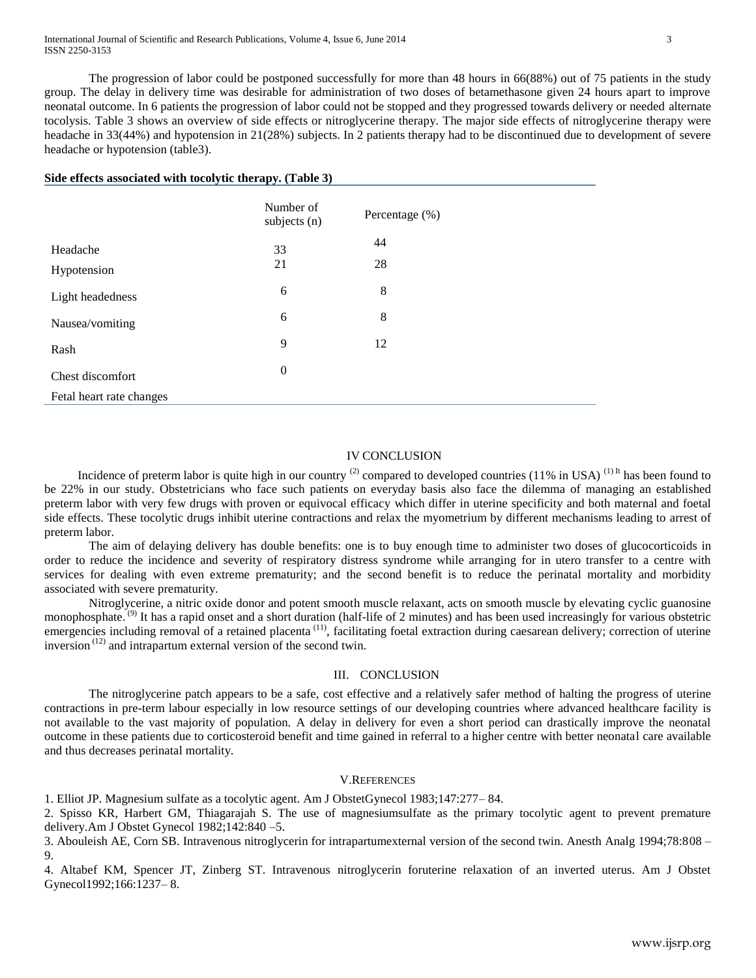The progression of labor could be postponed successfully for more than 48 hours in 66(88%) out of 75 patients in the study group. The delay in delivery time was desirable for administration of two doses of betamethasone given 24 hours apart to improve neonatal outcome. In 6 patients the progression of labor could not be stopped and they progressed towards delivery or needed alternate tocolysis. Table 3 shows an overview of side effects or nitroglycerine therapy. The major side effects of nitroglycerine therapy were headache in 33(44%) and hypotension in 21(28%) subjects. In 2 patients therapy had to be discontinued due to development of severe headache or hypotension (table3).

#### **Side effects associated with tocolytic therapy. (Table 3)**

|                          | Number of<br>subjects (n) | Percentage (%) |
|--------------------------|---------------------------|----------------|
| Headache                 | 33                        | 44             |
| Hypotension              | 21                        | 28             |
| Light headedness         | 6                         | 8              |
| Nausea/vomiting          | 6                         | 8              |
| Rash                     | 9                         | 12             |
| Chest discomfort         | $\boldsymbol{0}$          |                |
| Fetal heart rate changes |                           |                |

## IV CONCLUSION

Incidence of preterm labor is quite high in our country  $^{(2)}$  compared to developed countries (11% in USA)  $^{(1)}$ <sup>It</sup> has been found to be 22% in our study. Obstetricians who face such patients on everyday basis also face the dilemma of managing an established preterm labor with very few drugs with proven or equivocal efficacy which differ in uterine specificity and both maternal and foetal side effects. These tocolytic drugs inhibit uterine contractions and relax the myometrium by different mechanisms leading to arrest of preterm labor.

The aim of delaying delivery has double benefits: one is to buy enough time to administer two doses of glucocorticoids in order to reduce the incidence and severity of respiratory distress syndrome while arranging for in utero transfer to a centre with services for dealing with even extreme prematurity; and the second benefit is to reduce the perinatal mortality and morbidity associated with severe prematurity.

Nitroglycerine, a nitric oxide donor and potent smooth muscle relaxant, acts on smooth muscle by elevating cyclic guanosine monophosphate.<sup>(9)</sup> It has a rapid onset and a short duration (half-life of 2 minutes) and has been used increasingly for various obstetric emergencies including removal of a retained placenta<sup>(11)</sup>, facilitating foetal extraction during caesarean delivery; correction of uterine inversion (12) and intrapartum external version of the second twin.

## III. CONCLUSION

The nitroglycerine patch appears to be a safe, cost effective and a relatively safer method of halting the progress of uterine contractions in pre-term labour especially in low resource settings of our developing countries where advanced healthcare facility is not available to the vast majority of population. A delay in delivery for even a short period can drastically improve the neonatal outcome in these patients due to corticosteroid benefit and time gained in referral to a higher centre with better neonatal care available and thus decreases perinatal mortality.

## V.REFERENCES

1. Elliot JP. Magnesium sulfate as a tocolytic agent. Am J ObstetGynecol 1983;147:277– 84.

2. Spisso KR, Harbert GM, Thiagarajah S. The use of magnesiumsulfate as the primary tocolytic agent to prevent premature delivery.Am J Obstet Gynecol 1982;142:840 –5.

3. Abouleish AE, Corn SB. Intravenous nitroglycerin for intrapartumexternal version of the second twin. Anesth Analg 1994;78:808 – 9.

4. Altabef KM, Spencer JT, Zinberg ST. Intravenous nitroglycerin foruterine relaxation of an inverted uterus. Am J Obstet Gynecol1992;166:1237– 8.